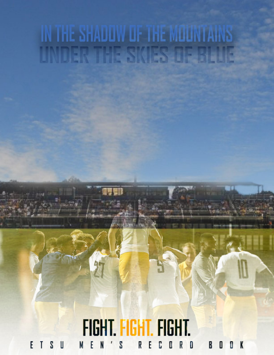# IN THE SHADOW OF THE MOUNTAINS **NUERVIER SKIES LIE**

#### FIGHT. FIGHT. FIGHT.  $F$   $I$  $S$  U  $\mathbf{E}$ S M  $N$ R D B 0 K C O R E I

 $\mathbb I$ 

 $\sqrt[3]{1}$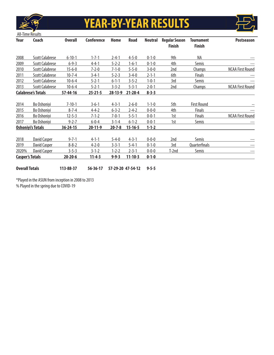

# **YEAR-BY-YEAR RESULTS**



| Year                   | Coach                     | <b>Overall</b> | <b>Conference</b> | Home          | <b>Road</b>   | <b>Neutral</b> | <b>Regular Season</b><br><b>Finish</b> | <b>Tournament</b><br><b>Finish</b> | <b>Postseason</b>       |
|------------------------|---------------------------|----------------|-------------------|---------------|---------------|----------------|----------------------------------------|------------------------------------|-------------------------|
| 2008                   | <b>Scott Calabrese</b>    | $6 - 10 - 1$   | $1 - 7 - 1$       | $2 - 4 - 1$   | $4 - 5 - 0$   | $0 - 1 - 0$    | 9th                                    | NA                                 | ---                     |
| 2009                   | <b>Scott Calabrese</b>    | $6 - 9 - 3$    | $4 - 4 - 1$       | $5 - 2 - 2$   | $1 - 6 - 1$   | $0 - 1 - 0$    | 4th                                    | Semis                              |                         |
| 2010                   | <b>Scott Calabrese</b>    | $15 - 6 - 0$   | $7 - 2 - 0$       | $7 - 1 - 0$   | $5 - 5 - 0$   | $3 - 0 - 0$    | 2nd                                    | <b>Champs</b>                      | <b>NCAA First Round</b> |
| 2011                   | <b>Scott Calabrese</b>    | $10 - 7 - 4$   | $3 - 4 - 1$       | $5 - 2 - 3$   | $3 - 4 - 0$   | $2 - 1 - 1$    | 6th                                    | <b>Finals</b>                      |                         |
| 2012                   | <b>Scott Calabrese</b>    | $10-6-4$       | $5 - 2 - 1$       | $6 - 1 - 1$   | $3 - 5 - 2$   | $1 - 0 - 1$    | 3rd                                    | <b>Semis</b>                       | ---                     |
| 2013                   | <b>Scott Calabrese</b>    | $10-6-4$       | $5 - 2 - 1$       | $3 - 3 - 2$   | $5 - 3 - 1$   | $2 - 0 - 1$    | 2nd                                    | <b>Champs</b>                      | <b>NCAA First Round</b> |
|                        | <b>Calabrese's Totals</b> | $57 - 44 - 16$ | $25 - 21 - 5$     | $28 - 13 - 9$ | $21 - 28 - 4$ | $8 - 3 - 3$    |                                        |                                    |                         |
| 2014                   | Bo Oshoniyi               | $7 - 10 - 1$   | $3 - 6 - 1$       | $4 - 3 - 1$   | $2 - 6 - 0$   | $1 - 1 - 0$    | 5th                                    | <b>First Round</b>                 |                         |
| 2015                   | Bo Oshoniyi               | $8 - 7 - 4$    | $4 - 4 - 2$       | $6 - 3 - 2$   | $2 - 4 - 2$   | $0 - 0 - 0$    | 4th                                    | Finals                             | ---                     |
| 2016                   | Bo Oshoniyi               | $12 - 5 - 3$   | $7 - 1 - 2$       | $7 - 0 - 1$   | $5 - 5 - 1$   | $0 - 0 - 1$    | 1st                                    | <b>Finals</b>                      | <b>NCAA First Round</b> |
| 2017                   | Bo Oshoniyi               | $9 - 2 - 7$    | $6 - 0 - 4$       | $3 - 1 - 4$   | $6 - 1 - 2$   | $0 - 0 - 1$    | 1st                                    | Semis                              | ---                     |
|                        | <b>Oshoniyi's Totals</b>  | $36 - 24 - 15$ | 20-11-9           | $20 - 7 - 8$  | $15 - 16 - 5$ | $1 - 1 - 2$    |                                        |                                    |                         |
| 2018                   | David Casper              | $9 - 7 - 1$    | $4 - 1 - 1$       | $5 - 4 - 0$   | $4 - 3 - 1$   | $0 - 0 - 0$    | 2nd                                    | <b>Semis</b>                       |                         |
| 2019                   | David Casper              | $8 - 8 - 2$    | $4 - 2 - 0$       | $3 - 3 - 1$   | $5 - 4 - 1$   | $0 - 1 - 0$    | 3rd                                    | Quarterfinals                      |                         |
| 2020%                  | David Casper              | $3 - 5 - 3$    | $3 - 1 - 2$       | $1 - 2 - 2$   | $2 - 3 - 1$   | $0 - 0 - 0$    | T-2nd                                  | Semis                              | ---                     |
| <b>Casper's Totals</b> |                           | $20 - 20 - 6$  | $11 - 4 - 3$      | $9 - 9 - 3$   | $11 - 10 - 3$ | $0 - 1 - 0$    |                                        |                                    |                         |

**Overall Totals 113-88-37 56-36-17 57-29-20 47-54-12 9-5-5**

\*Played in the ASUN from inception in 2008 to 2013

% Played in the spring due to COVID-19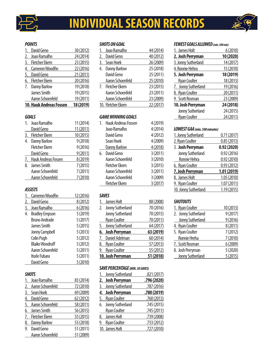

# **INDIVIDUAL SEASON RECORDS**

## *POINTS*

|    | David Geno                     | 30 (2012) |
|----|--------------------------------|-----------|
| 2. | Joao Ramalho                   | 24 (2014) |
| 3. | <b>Fletcher Ekern</b>          | 23 (2015) |
| 4. | <b>Cameron Woodfin</b>         | 22 (2016) |
| 5. | David Geno                     | 21 (2011) |
| 6. | <b>Fletcher Ekern</b>          | 20 (2016) |
| 7. | <b>Danny Barlow</b>            | 19 (2018) |
|    | <b>James Smith</b>             | 19 (2015) |
|    | Aaron Schoenfeld               | 19 (2011) |
|    | <b>10. Hauk Andreas Fossen</b> | 18 (2019) |

## *GOALS*

| 1. | Joao Ramalho          | 11 (2014) |
|----|-----------------------|-----------|
|    | David Geno            | 11 (2011) |
| 3. | <b>Fletcher Ekern</b> | 10 (2015) |
| 4. | <b>Danny Barlow</b>   | 9(2018)   |
|    | <b>Fletcher Ekern</b> | 9(2016)   |
|    | David Geno            | 9(2011)   |
| 7. | Hauk Andreas Fossen   | 8 (2019)  |
| 8. | James Smith           | 7(2015)   |
|    | Aaron Schoenfeld      | 7(2011)   |
|    | Aaron Schoenfeld      | 7(2010)   |

## *ASSISTS*

|    | <b>Cameron Woodfin</b> | 12 (2016) |
|----|------------------------|-----------|
| 2. | David Geno             | 8 (2012)  |
| 3. | Joao Ramalho           | 6(2016)   |
| 4. | <b>Bradley Empson</b>  | 5 (2019)  |
|    | <b>Bruno Andrade</b>   | 5(2017)   |
|    | James Smith            | 5(2015)   |
|    | Jonny Campbell         | 5(2013)   |
|    | <b>Colin Pugh</b>      | 5(2012)   |
|    | <b>Blaike Woodruff</b> | 5(2012)   |
|    | Aaron Schoenfeld       | 5(2011)   |
|    | Itode Fubara           | 5(2011)   |
|    | David Geno             | 5 (2010)  |

## *SHOTS*

|    | Joao Ramalho        | 83 (2014) |
|----|---------------------|-----------|
| 2. | Aaron Schoenfeld    | 72 (2010) |
| 3. | Sean Hoek           | 69 (2009) |
| 4. | David Geno          | 62 (2012) |
| 5. | Aaron Schoenfeld    | 58 (2011) |
| 6. | James Smith         | 56 (2015) |
| 7. | Fletcher Ekern      | 55 (2015) |
| 8. | <b>Danny Barlow</b> | 53 (2018) |
| 9. | David Geno          | 51 (2011) |
|    | Aaron Schoenfeld    | 51 (2009) |

## *SHOTS ON GOAL*

|    | Joao Ramalho        | 44 (2014) |
|----|---------------------|-----------|
| 2. | David Geno          | 40 (2012) |
| 3. | Sean Hoek           | 26 (2009) |
| 4. | <b>Danny Barlow</b> | 25 (2018) |
|    | David Geno          | 25 (2011) |
|    | Aaron Schoenfeld    | 25 (2010) |
|    | 7. Fletcher Ekern   | 23 (2015) |
|    | Aaron Schoenfeld    | 23 (2011) |
|    | Aaron Schoenfeld    | 23 (2009) |
|    | 10. Fletcher Ekern  | 22 (2017) |
|    |                     |           |

## *GAME WINNING GOALS*

|    | <b>Hauk Andreas Fossen</b> | 4 (2019) |
|----|----------------------------|----------|
|    | Joao Ramalho               | 4 (2014) |
|    | David Geno                 | 4 (2012) |
|    | Sean Hoek                  | 4 (2009) |
|    | <b>Danny Barlow</b>        | 4 (2018) |
| 6. | David Geno                 | 3(2011)  |
|    | Aaron Schoenfeld           | 3 (2010) |
|    | Fletcher Ekern             | 3(2015)  |
|    | Aaron Schoenfeld           | 3(2011)  |
|    | Aaron Schoenfeld           | 3 (2009) |
|    | <b>Fletcher Ekern</b>      | 3(2017)  |
|    |                            |          |

## *SAVES*

|    | James Holt          | 88 (2008) |
|----|---------------------|-----------|
| 2. | Jonny Sutherland    | 70 (2016) |
|    | Jonny Sutherland    | 70 (2015) |
|    | <b>Ryan Coulter</b> | 70 (2011) |
|    | 5. Jonny Sutherland | 64 (2017) |
|    |                     |           |
|    | 6. Josh Perryman    | 63 (2019) |
|    | 7. Daniel Adelman   | 60 (2014) |
|    | 8. Ryan Coulter     | 57 (2013) |
| 9. | <b>Ryan Coulter</b> | 55 (2012) |

#### *SAVE PERCENTAGE (MIN. 30 SAVES)*

| 1. Jonny Sutherland | .821 (2017) |
|---------------------|-------------|
| 2. Josh Perryman    | .796 (2020) |
| 3. Jonny Sutherland | .787 (2016) |
| 4. Josh Perryman    | .780 (2019) |
| 5. Ryan Coulter     | .760(2013)  |
| 6. Jonny Sutherland | .745 (2015) |
| <b>Ryan Coulter</b> | .745 (2011) |
| 8. James Holt       | .739 (2008) |
| 9. Ryan Coulter     | .733 (2012) |
| 10. James Holt      | .727 (2010) |
|                     |             |

### *FEWEST GOALS ALLOWED (min. 500 min)*

| 1. James Holt       | 6(2010)   |
|---------------------|-----------|
| 2. Josh Perryman    | 10 (2020) |
| 3. Jonny Sutherland | 14 (2017) |
| 4. Ronnie Hehra     | 15 (2010) |
| 5. Josh Perryman    | 18 (2019) |
| <b>Ryan Coulter</b> | 18 (2013) |
| 7. Jonny Sutherland | 19 (2016) |
| 8. Ryan Coulter     | 20 (2011) |
| 9. Scott Rosman     | 23 (2009) |
| 10. Josh Perryman   | 24 (2018) |
| Jonny Sutherland    | 24 (2015) |
| <b>Ryan Coulter</b> | 24 (2011) |
|                     |           |

## *LOWEST GAA (min. 500 minutes)*

| 0.71(2017)  |
|-------------|
| 0.85(2013)  |
| 0.92(2020)  |
| 0.92(2016)  |
| 0.92(2010)  |
| 0.93(2012)  |
| 1.01 (2019) |
| 1.05 (2010) |
| 1.07(2011)  |
| 1.19(2015)  |
|             |

## *SHUTOUTS*

| 1. Ryan Coulter     | 10 (2013) |
|---------------------|-----------|
| 2. Jonny Sutherland | 9(2017)   |
| Jonny Sutherland    | 9(2016)   |
| 4. Ryan Coulter     | 8 (2011)  |
| 5. Ryan Coulter     | 7(2012)   |
| Ronnie Hreha        | 7(2010)   |
| 7. Scott Rosman     | 6(2009)   |
| 8. Josh Perryman    | 5(2020)   |
| Jonny Sutherland    | 5(2015)   |

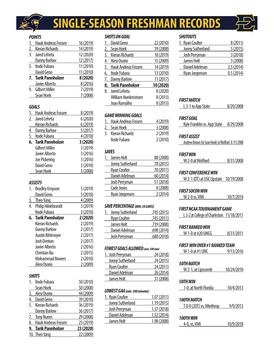

# **SINGLE-SEASON FRESHMAN RECORDS**

## *POINTS*

| <b>Hauk Andreas Fossen</b> | 16 (2019) |
|----------------------------|-----------|
| 2. Kieran Richards         | 14 (2019) |
| Jared Leheta               | 12 (2020) |
| <b>Danny Barlow</b>        | 12 (2017) |
| 5. Itode Fubara            | 11 (2010) |
| David Geno                 | 11 (2010) |
| 7. Tarik Pannholzer        | 8 (2020)  |
| Javier Alberto             | 8 (2016)  |
| 9. Gilbert Miller          | 7 (2019)  |
| Sean Hoek                  | 7 (2008)  |
|                            |           |

## *GOALS*

|                  | <b>Hauk Andreas Fossen</b> | 8 (2019) |
|------------------|----------------------------|----------|
| $\overline{2}$ . | Jared Leheta               | 6(2020)  |
|                  | Kieran Richards            | 6(2019)  |
| 4.               | <b>Danny Barlow</b>        | 5(2017)  |
| <u>5.</u>        | Itode Fubara               | 4(2010)  |
| 6.               | Tarik Pannholzer           | 3 (2020) |
|                  |                            |          |
|                  | Gilbert Miller             | 3 (2019) |
|                  | Javier Alberto             | 3(2016)  |
|                  | Joe Pickering              | 3 (2016) |
|                  | David Geno                 | 3 (2010) |

## *ASSISTS*

| 1.        | <b>Bradley Empson</b>   | 5 (2019)  |
|-----------|-------------------------|-----------|
|           | David Geno              | 5(2010)   |
| <u>3.</u> | Theo Yang               | 4 (2009)  |
| 4.        | Philip Hildebrandt      | 3 (2019)  |
|           | Itode Fubara            | 3(2010)   |
| 6.        | <b>Tarik Pannholzer</b> | 2(2020)   |
|           | Kieran Richards         | 2(2019)   |
|           | <b>Danny Barlow</b>     | 2(2017)   |
|           | <b>Austin Bihlmeyer</b> | 2(2017)   |
|           | <b>Josh Denton</b>      | 2(2017)   |
|           | <b>Javier Alberto</b>   | 2(2016)   |
|           | Christian Ilia          | 2(2015)   |
|           | Mohammad Bowers         | 2(2010)   |
|           | Alesi Osorio            | 2(2009)   |
|           |                         |           |
|           | <b>SHOTS</b>            |           |
| 1.        | <b>Itode Fubara</b>     | 50 (2010) |
|           | Sean Hoek               | 50 (2008) |
| 3.        | Alesi Osorio            | 44 (2009) |
| 4.        | David Geno              | 39 (2010) |
|           |                         |           |

| 5. Kieran Richards     | 36 (2019) |
|------------------------|-----------|
| <b>Danny Barlow</b>    | 36 (2017) |
| 7. Tony Nunes          | 29 (2008) |
| 8. Hauk Andreas Fossen | 25 (2019) |
| 9. Tarik Pannholzer    | 23 (2020) |
| 10. Theo Yang          | 22 (2009) |
|                        |           |

## *SHOTS ON GOAL*

|    | David Geno                 | 22 (2010) |
|----|----------------------------|-----------|
| 2. | Sean Hoek                  | 19 (2008) |
| 3. | Kieran Richards            | 18 (2019) |
| 4. | Alesi Osorio               | 15 (2009) |
| 5. | Hauk Andreas Fossen        | 14 (2019) |
| 6. | Itode Fubara               | 13 (2010) |
|    |                            |           |
| 7. | <b>Danny Barlow</b>        | 11 (2017) |
| 8. | <b>Tarik Pannholzer</b>    | 10 (2020) |
| 8. | Jared Leheta               | 8 (2020)  |
|    | <b>William Nordenstrom</b> | 8 (2013)  |
|    | Joao Ramalho               | 8 (2013)  |

## *GAME WINNING GOALS*

| 1. Hauk Andreas Fossen | 4 (2019) |
|------------------------|----------|
| 2. Sean Hoek           | 3(2008)  |
| 3. Kieran Richards     | 2(2019)  |
| Itode Fubara           | 2(2010)  |

## *SAVES*

| James Holt          | 88 (2008) |
|---------------------|-----------|
| Jonny Sutherland    | 70 (2015) |
| <b>Ryan Coulter</b> | 70 (2011) |
| Daniel Adelman      | 60 (2014) |
| Josh Perryman       | 51 (2018) |
| Cade Jones          | 8 (2008)  |
| Ryan Jorgensen      | 2(2014)   |
|                     |           |

## *SAVE PERCENTAGE (MIN. 30 SAVES)*

| .745 (2015) |
|-------------|
| .745 (2011) |
| .739 (2008) |
| .698 (2014) |
| .680 (2018) |
|             |

## *FEWEST GOALS ALLOWED (min. 500 min)*

| 1. Josh Perryman    | 24 (2018) |
|---------------------|-----------|
| Jonny Sutherland    | 24 (2015) |
| <b>Ryan Coulter</b> | 24 (2011) |
| Daniel Adelman      | 26 (2014) |
| James Holt          | 31 (2008) |

## *LOWEST GAA (min. 500 minutes)*

| 1. Ryan Coulter  | 1.07(2011)  |
|------------------|-------------|
| Jonny Sutherland | 1.19(2015)  |
| Josh Perryman    | 1.37 (2018) |
| Daniel Adelman   | 1.52 (2014) |
| James Holt       | 1.98 (2008) |
|                  |             |

## *SHUTOUTS*

| 1. Ryan Coulter  | 8(2011)   |
|------------------|-----------|
| Jonny Sutherland | 5(2015)   |
| Josh Perryman    | 3(2018)   |
| James Holt       | 3 (2008)  |
| Daniel Adelman   | 2.5(2014) |
| Ryan Jorgensen   | 0.5(2014) |
|                  |           |

## *FIRST MATCH*

| L 3-1 to App State | 8/29/2008 |
|--------------------|-----------|
|                    |           |

## *FIRST GOAL*

| Kyle Franklin vs. App State | 8/29/2008 |
|-----------------------------|-----------|
|                             |           |

## *FIRST ASSIST*

Andrew Brown (to Sean Hoek) at Wofford 8 /31/2008

## *FIRST WIN*

| W 2-0 at Wofford | 8/31/2008 |
|------------------|-----------|
|                  |           |

## *FIRST CONFERENCE WIN*

W 2-1 (OT) at USC Upstate 10/19/2008

## *FIRST SOCON WIN*

 $\overline{a}$ 

| W 2-0 vs. VMI | 10/7/2014 |
|---------------|-----------|
|               |           |

## *FIRST NCAA TOURNAMENT GAME*

| L 3-2 at College of Charleston 11/18/2011 |           |
|-------------------------------------------|-----------|
|                                           |           |
| FIRST RANKED WIN                          |           |
| W 1-0 at #20 UNCG                         | 8/31/2011 |
|                                           |           |

## *FIRST WIN OVER #1 RANKED TEAM*

| W 1-0 at #1 UNC           | 9/13/2016  |
|---------------------------|------------|
| 50ТН МАТСН                |            |
| W 2-1, at Lipscomb        | 10/24/2010 |
| <i><b>50TH WIN</b></i>    |            |
| 1-0, at North Florida     | 10/4/2013  |
| <i><b>100TH MATCH</b></i> |            |
| $T0-0$ (20T) vs. Winthrop | 9/9/2013   |
| 100TH WIN                 |            |
| 4-0, vs. VMI              | 10/9/2018  |

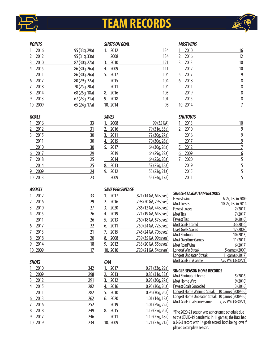

## **TEAM RECORDS**



#### *POINTS*

| 1. | 2016    | 95 (33g, 29a) |
|----|---------|---------------|
| 2. | 2012    | 95 (31g, 33a) |
| 3. | 2010    | 87 (30g, 27a) |
| 4. | 2015    | 86 (30g, 26a) |
|    | 2011    | 86 (30g, 26a) |
| 6. | 2017    | 80 (29g, 22a) |
|    | 7. 2018 | 70 (25g, 20a) |
| 8. | 2014    | 68 (25g, 18a) |
| 9. | 2013    | 67(23q, 21a)  |
|    | 10.2009 | 65 (24g, 17a) |

## *GOALS*

|                      | 2016     | <u>33</u>      |
|----------------------|----------|----------------|
| <u>2.</u>            | 2012     | 31             |
| 3.                   | 2015     | 30             |
|                      | 2011     | 30             |
|                      | 2010     | 30             |
| <u><sub>6.</sub></u> | 2017     | 29             |
| 7.                   | 2018     | 25             |
|                      | 2014     | $\frac{25}{2}$ |
| 9.                   | 2009     | 24             |
|                      | 10. 2013 | 23             |

#### *ASSISTS*

| 1.            | 2012    | <u>33</u> |
|---------------|---------|-----------|
| <u>2.</u>     | 2016    | 29        |
| <u>3.</u>     | 2010    | 27        |
| 4.            | 2015    | 26        |
|               | 2011    | 26        |
| <u>.</u>      | 2017    | 22        |
| 7.            | 2013    | 21        |
| <u>8.</u>     | 2018    | 20        |
| $\frac{9}{2}$ | 2014    | 18        |
|               | 10.2009 | 17        |

## *SHOTS*

| 1. | 2010     | 342        |
|----|----------|------------|
|    | 2. 2009  | 298        |
|    | 3. 2012  | 291        |
| 4. | 2015     | 282        |
|    | 2011     | <u>282</u> |
|    | 6. 2013  | 262        |
|    | 7. 2016  | 252        |
|    | 8. 2018  | 249        |
|    | 9. 2017  | 246        |
|    | 10. 2019 | 234        |
|    |          |            |

### *SHOTS ON GOAL*

| 1. | 2012     | 134 |
|----|----------|-----|
|    | 2008     | 134 |
| 3. | 2010     | 121 |
| 4. | 2009     | 111 |
| 5. | 2017     | 104 |
|    | 2015     | 104 |
|    | 2011     | 104 |
| 8. | 2016     | 103 |
| 9. | 2018     | 101 |
|    | 10. 2014 | 98  |

## *SAVES*

|    | 2008 | 99 (35 GA)    |
|----|------|---------------|
| 2. | 2016 | 79 (31g, 33a) |
| 3. | 2011 | 72 (30g, 27a) |
| 4. | 2015 | 70 (30g, 26a) |
| 5. | 2017 | 64 (30g, 26a) |
|    | 2019 | 64 (29g, 22a) |
|    | 2014 | 64 (25g, 20a) |
| 8. | 2013 | 57 (25g, 18a) |
| 9. | 2012 | 55 (23g, 21a) |
|    | 2009 | 55 (24g, 17a) |

#### *SAVE PERCENTAGE*

| 2017       | .821 (14 GA, 64 saves) |
|------------|------------------------|
| 2016<br>2. | .798 (20 GA, 79 saves) |
| 2020<br>3. | .786 (12 GA, 44 saves) |
| 2019<br>4. | .771 (19 GA, 64 saves) |
| 2013<br>5. | .760 (18 GA, 57 saves) |
| 2011<br>6. | .750 (24 GA, 72 saves) |
| 2015       | .745 (24 GA, 70 saves) |
| 2008<br>8. | .739 (35 GA, 99 saves) |
| 2012       | .733 (20 GA, 55 saves) |
| 10.2010    | .720 (21 GA, 54 saves) |
|            |                        |

## *GAA*

|           | 2017    | 0.71(33q, 29a)  |
|-----------|---------|-----------------|
| 2.        | 2013    | 0.85(31q, 33a)  |
| 3.        | 2012    | 0.93(30q, 27a)  |
| <u>4.</u> | 2016    | 0.95(30q, 26a)  |
| 5.        | 2010    | 0.96(30q, 26a)  |
| 6.        | 2020    | 1.01 (14g, 12a) |
|           | 2019    | 1.01 (29g, 22a) |
| 8.        | 2015    | 1.19 (25g, 20a) |
|           | 2011    | 1.19(25q, 18a)  |
|           | 10.2009 | 1.21(23q, 21a)  |
|           |         |                 |

### *MOST WINS*

|    | 2010     | 16 |
|----|----------|----|
| 2. | 2016     | 12 |
| 3. | 2013     | 10 |
|    | 2012     | 10 |
| 5. | 2017     | 9  |
| 6. | 2018     | 8  |
|    | 2011     | 8  |
|    | 2019     | 8  |
|    | 2015     | 8  |
|    | 10. 2014 |    |
|    |          |    |

## *SHUTOUTS*

|                   | 2013 | 10 |
|-------------------|------|----|
| 2.                | 2010 | 9  |
|                   | 2016 | 9  |
|                   | 2017 | 9  |
| <u>5.</u>         | 2012 | 7  |
| $\underline{6}$ . | 2009 | 6  |
| 7.                | 2020 | 5  |
|                   | 2019 | 5  |
|                   | 2015 | 5  |
|                   | 2011 | 5  |

#### *SINGLE-SEASON TEAM RECORDS*

| <b>Fewest wins</b>         | 6, 2x, last in 2009  |
|----------------------------|----------------------|
| Most Losses                | 10, 2x, last in 2014 |
| <b>Fewest Losses</b>       | 2(2017)              |
| <b>Most Ties</b>           | 7(2017)              |
| <b>Fewest Ties</b>         | 0(2010)              |
| <b>Most Goals Scored</b>   | 33 (2016)            |
| Least Goals Scored         | 17 (2008)            |
| <b>Most Shutouts</b>       | 10 (2013)            |
| <b>Most Overtime Games</b> | 11 (2017)            |
| <b>Most Road Wins</b>      | 6(2017)              |
| <b>Longest Win Streak</b>  | 5 games (2009)       |
| Longest Unbeaten Streak    | 11 games (2017)      |
| Most Goals in A Game       | 7, vs. VMI (3/30/21) |

#### **SINGLE-SEASON HOME RECORDS**

| Most Shutouts at home        | 5(2016)              |
|------------------------------|----------------------|
| Most Home Wins               | 9(2010)              |
| <b>Fewest Goals Conceded</b> | 3(2016)              |
| Longest Home Winning Streak  | 10 games (2009-10)   |
| Longest Home Unbeaten Streak | 10 games (2009-10)   |
| Most Goals in a Home Game    | 7, vs. VMI (3/30/21) |

\*The 2020-21 season was a shortened schedule due to the COVID-19 pandemic. In 11 games, the Bucs had a 3-5-3 record with 14 goals scored, both being lows if played a complete season.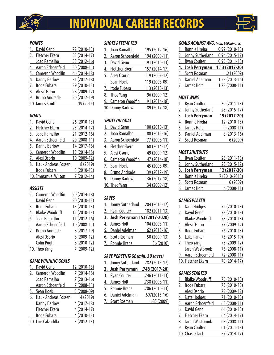

## **INDIVIDUAL CAREER RECORDS**



## *POINTS*

| David Geno          | 72 (2010-13) |
|---------------------|--------------|
| 2. Fletcher Ekern   | 53 (2014-17) |
| Joao Ramalho        | 53 (2012-16) |
| 4. Aaron Schoenfeld | 50 (2008-11) |
| 5. Cameron Woodfin  | 46 (2014-18) |
| 6. Danny Barlow     | 31 (2017-18) |
| 7. Itode Fubara     | 29 (2010-13) |
| 8. Alesi Osorio     | 28 (2009-12) |
| 9. Bruno Andrade    | 20 (2017-19) |
| 10. James Smith     | 19 (2015)    |

## *GOALS*

|    | David Geno                 | 26 (2010-13) |
|----|----------------------------|--------------|
| 2. | <b>Fletcher Ekern</b>      | 23 (2014-17) |
| 3. | Joao Ramalho               | 21 (2012-16) |
| 4. | <b>Aaron Schoenfeld</b>    | 20 (2008-11) |
| 5. | <b>Danny Barlow</b>        | 14 (2017-18) |
|    | 6. Cameron Woodfin         | 13 (2014-18) |
| 7. | Alesi Osorio               | 10 (2009-12) |
| 8. | <b>Hauk Andreas Fossen</b> | 8 (2019)     |
|    | Itode Fubara               | 8 (2010-13)  |
|    | 10. Emmanuel Wilson        | 7 (2012-14)  |

## *ASSISTS*

| 1. Cameron Woodfin | 20 (2014-18) |
|--------------------|--------------|
| David Geno         | 20 (2010-13) |
| 3. Itode Fubara    | 13 (2010-13) |
| 4. Blaike Woodruff | 12 (2010-13) |
| 5. Joao Ramalho    | 11 (2012-16) |
| Aaron Schoenfeld   | 10 (2008-11) |
| 7. Bruno Andrade   | 8 (2017-19)  |
| Alesi Osorio       | 8 (2009-12)  |
| Colin Pugh         | 8 (2010-12)  |
| 10. Theo Yang      | 7 (2009-12)  |
|                    |              |

## *GAME WINNING GOALS*

|    | David Geno                 | 12 (2010-13) |
|----|----------------------------|--------------|
|    | 2. Cameron Woodfin         | 7 (2014-18)  |
|    | Joao Ramalho               | $7(2013-16)$ |
|    | Aaron Schoenfeld           | 7 (2008-11)  |
| 5. | Sean Hoek                  | $5(2008-09)$ |
| 6. | <b>Hauk Andreas Fossen</b> | 4 (2019)     |
|    | <b>Danny Barlow</b>        | 4 (2017-18)  |
|    | <b>Fletcher Ekern</b>      | 4 (2014-17)  |
|    | Itode Fubara               | 4 (2010-13)  |
|    | 10. Luis Calzadilla        | $3(2012-13)$ |

## *SHOTS ATTEMPTED*

| 1. Joao Ramalho        | 195 (2012-16) |
|------------------------|---------------|
| Aaron Schoenfeld<br>2. | 194 (2008-11) |
| David Geno<br>3.       | 191 (2010-13) |
| 4. Fletcher Ekern      | 157 (2014-17) |
| 5. Alesi Osorio        | 119 (2009-12) |
| Sean Hoek              | 119 (2008-09) |
| 7. Itode Fubara        | 113 (2010-13) |
| 8. Theo Yang           | 96 (2009-12)  |
| 9. Cameron Woodfin     | 91 (2014-18)  |
| 10. Danny Barlow       | 89 (2017-18)  |
|                        |               |

## *SHOTS ON GOAL*

|    | David Geno           | 100 (2010-13) |
|----|----------------------|---------------|
|    | 2. Joao Ramalho      | 88 (2012-16)  |
|    | 3. Aaron Schoenfeld  | 77 (2008-11)  |
|    | 4. Fletcher Ekern    | 68 (2014-17)  |
|    | 5. Alesi Osorio      | 49 (2009-12)  |
|    | 6. Cameron Woodfin   | 47 (2014-18)  |
|    | 7. Sean Hoek         | 45 (2008-09)  |
| 8. | <b>Bruno Andrade</b> | 39 (2017-19)  |
|    | 9. Danny Barlow      | 36 (2017-18)  |
|    | 10. Theo Yang        | 34 (2009-12)  |

## *SAVES*

| 1. Jonny Sutherland              | 204 (2015-17) |
|----------------------------------|---------------|
| 2. Ryan Coulter                  | 182 (2011-13) |
| 3. Josh Perryman 153 (2017-2020) |               |
| 4. James Holt                    | 104 (2008-11) |
| 5. Daniel Adelman                | 62 (2013-16)  |
| 6. Scott Rosman                  | 50 (2009-13)  |
| 7. Ronnie Hreha                  | 36 (2010)     |
|                                  |               |

## *SAVE PERCENTAGE (min. 30 saves)*

| 1. Jonny Sutherland .782 (2015-17) |                 |
|------------------------------------|-----------------|
| 2. Josh Perryman                   | $.748(2017-20)$ |
| 3. Ryan Coulter                    | .746 (2011-13)  |
| 4. James Holt                      | .738 (2008-11)  |
| 5. Ronnie Hreha                    | .706 (2010-13)  |
| 6. Daniel Adelman                  | $.697(2013-16)$ |
| 7. Scott Rosman                    | .685 (2009)     |
|                                    |                 |

## *GOALS AGAINST AVG. (min. 500 minutes)*

| 1. Ronnie Hreha     | $0.92(2010-13)$ |
|---------------------|-----------------|
| 2. Jonny Sutherland | $0.94(2015-17)$ |
| 3. Ryan Coulter     | $0.95(2011-13)$ |
|                     |                 |
| 4. Josh Perryman    | $1.13(2017-20)$ |
| 5. Scott Rosman     | 1.21 (2009)     |
| 6. Daniel Adelman   | 1.53 (2013-16)  |

## *MOST WINS*

| 1. Ryan Coulter     | 30 (2011-13) |
|---------------------|--------------|
| 2. Jonny Sutherland | 28 (2015-17) |
| 3. Josh Perryman    | 19 (2017-20) |
| 4. Ronnie Hreha     | 12 (2010-13) |
| 5. James Holt       | $9(2008-11)$ |
| 6. Daniel Adelman   | 8 (2013-16)  |
| 7. Scott Rosman     | 6(2009)      |
|                     |              |

## *MOST SHUTOUTS*

| 1. Ryan Coulter     | 25 (2011-13)  |
|---------------------|---------------|
| 2. Jonny Sutherland | 23 (2015-17)  |
| 3. Josh Perryman    | 12 (2017-20)  |
| 4. Ronnie Hreha     | 7 (2010-2013) |
| 5. Scott Rosman     | 6(2009)       |
| 6. James Holt       | 4 (2008-11)   |

## *GAMES PLAYED*

| 1. | <b>Nate Hodges</b>     | 79 (2010-13) |
|----|------------------------|--------------|
|    | 2. David Geno          | 78 (2010-13) |
|    | <b>Blaike Woodruff</b> | 78 (2010-13) |
| 4. | Alesi Osorio           | 77 (2009-12) |
|    | 5. Itode Fubara        | 76 (2010-13) |
|    | 6. Luke Parker         | 75 (2015-19) |
|    | 7. Theo Yang           | 73 (2009-12) |
|    | Jaron Westbrook        | 73 (2008-11) |
|    | 9. Aaron Schoenfeld    | 72 (2008-11) |
|    | 10. Fletcher Ekern     | 70 (2014-17) |

## *GAMES STARTED*

| 75 (2010-13)  |
|---------------|
| 73 (2010-13)  |
| 73 (2009-12)  |
| 71 (2010-13)  |
| 68 (2008-11)  |
| 66 (2010-13)  |
| 64 (2014-17)  |
| 63 (2008-11)  |
| $61(2011-13)$ |
| 57 (2014-17)  |
|               |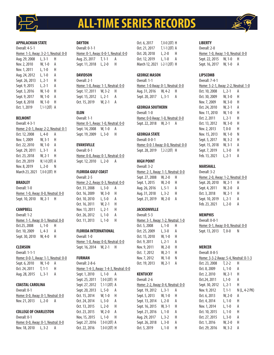

## **ALL-TIME SERIES RECORDS**

#### **APPALACHIAN STATE**

| Overall: 4-5-1                       |                |   |
|--------------------------------------|----------------|---|
| Home: 1-3, Away: 3-2-1, Neutral: 0-0 |                |   |
| Aug. 29, 2008                        | $L, 3-1$       | н |
| Nov. 2, 2010                         | W, 1-0         | А |
| Nov. 1, 2011                         | L, 1-0         | Н |
| Aug. 24, 2012                        | L, 1-0         | А |
| Sept. 26, 2013                       | L, 2-1         | Н |
| Sept. 9, 2015                        | L, 2-1         | А |
| Sept. 3, 2016                        | W, 1-0         | н |
| Sept. 9, 2017                        | W, 1-0         | А |
| Sept. 8, 2018                        | W, 1-0         | Н |
| Oct. 1, 2019                         | $T, 1-1 (20T)$ | А |

#### **BELMONT**

Overall: 4-3-1 Home: 2-0-1, Away: 2-2, Neutral: 0-1 Oct. 12, 2008 L, 4-0 A Nov. 1, 2009 W, 3-1 H Oct. 22, 2010 W, 1-0 A Sept. 29, 2011 L, 3-1 A Oct. 23, 2018 W, 2-1 H Oct. 29, 2019 W, 1-0 (2OT) A Nov. 8, 2019 L, 2-0 N March 23, 2021 T, 0-0 (2OT) H

#### **BRADLEY**

Overall: 1-0 Home: 1-0, Away: 0-0, Neutral: 0-0 Sept. 10, 2010 W, 2-1 H

#### **CAMPBELL**

Overall: 1-2 Home: 1-1, Away: 0-1, Neutral: 0-0 Oct.25, 2008 L, 1-0 H Oct. 10, 2009 L, 4-3 A Sept. 30, 2010 W, 4-0 H

#### **CLEMSON**

| Overall: 1-1-1                       |          |   |
|--------------------------------------|----------|---|
| Home: 0-0-1, Away: 1-1, Neutral: 0-0 |          |   |
| Sept. 6, 2010                        | W. 1-0   | А |
| Oct. 24, 2011                        | $T. 1-1$ | н |
| Aug. 28, 2015                        | L. 3-1   | А |

#### **COASTAL CAROLINA**

Overall: 0-1 Home: 0-0, Away: 0-1, Neutral: 0-0 Nov. 21, 2013 L, 2-0 A

### **COLLEGE OF CHARLESTON**

| Overall: 0-1                              |   |  |
|-------------------------------------------|---|--|
| <u>Home: 0-0, Away: 0-1, Neutral: 0-0</u> |   |  |
| Nov. 18, 2010   L, 3-2                    | A |  |

#### **DAYTON**

Overall: 0-1-1 Home: 0-1, Away: 0-0-1, Neutral: 0-0 Aug. 25, 2017 T, 1-1 A Sept. 11, 2018 L, 2-0 H

#### **DAVIDSON**

Overall: 2-1 Home: 1-0, Away: 1-1, Neutral: 0-0 Sept. 17, 2011 W, 3-2 H Sept. 15, 2012 L, 2-1 A Oct. 15, 2019 W, 2-1 A

## **ELON**

Overall: 1-1 Home: 0-1, Away: 1-0, Neutral: 0-0 Sept. 14, 2008 W, 1-0 A Sept. 19, 2009 L, 3-0 H

#### **EVANSVILLE**

Overall: 0-1 Home: 0-0, Away: 0-1, Neutral: 0-0 Sept. 12, 2010 L, 2-0 A

#### **FLORIDA GULF COAST**

| Overall: 2-5                               |          |   |
|--------------------------------------------|----------|---|
| <u> Home: 2-2, Away: 0-3, Neutral: 0-0</u> |          |   |
| Oct. 31, 2008                              | $L.3-0$  | А |
| Oct. 16, 2009                              | $W. 3-0$ | н |
| Oct. 10, 2010                              | $L, 5-0$ | А |
| Oct. 16, 2011                              | $W, 2-1$ | Н |
| Nov. 13, 2011                              | $L. 2-1$ | Н |
| Oct. 26, 2012                              | $L. 1-0$ | А |
| Oct. 11, 2013                              | $L. 1-0$ | Н |
|                                            |          |   |

#### **FLORIDA INTERNATIONAL**

Overall: 1-0 Home: 1-0, Away: 0-0, Neutral: 0-0 Sept. 16, 2014 W, 2-1 H

#### **FURMAN**

| Overall: 2-8-6                         |                    |   |
|----------------------------------------|--------------------|---|
| Home: 1-4-3, Away: 1-4-3, Neutral: 0-0 |                    |   |
| Sept. 1, 2010                          | $L. 1-0$           | А |
| Sept. 25, 2011                         | $T, 0-0 (20T)$ H   |   |
| Sept. 27, 2012                         | T. 1-1 (20T) A     |   |
| Sept. 20, 2013                         | L. 5-0             | А |
| Oct. 15, 2014                          | W. 1-0             | н |
| Oct. 24, 2014                          | L, 3-0             | А |
| Oct. 13, 2015                          | L, 2-0             | Н |
| Oct. 23, 2015                          | W. 2-0             | A |
| Nov, 15, 2015                          | $L. 1-0$           | Н |
| Sept. 27, 2016                         | $T. 0 - 0 (20T)$ A |   |
| Oct. 22, 2016                          | $T, 0-0$ (20T) H   |   |
|                                        |                    |   |

| Oct. 6, 2017   | $T. 0 - 0 (20T)$ H |   |
|----------------|--------------------|---|
| Oct. 21, 2017  | $T, 1-1 (20T)$ A   |   |
| Oct. 20, 2018  | $L, 2-0$           | н |
| Oct. 12, 2019  | $L. 1-0$           | А |
| March 12, 2021 | L-2-1 (20T) H      |   |

#### **GEORGE MASON**

Overall: 1-1 Home: 1-0 Away: 0-1, Neutral: 0-0 Aug. 31, 2016 W, 4-2 H Sept. 20, 2017 L, 3-1 A

#### **GEORGIA SOUTHERN**

Overall: 1-0 Home: 0-0 Away: 1-0, Neutral: 0-0 Sept. 22, 2018 W, 2-1 A

#### **GEORGIA STATE**

Overall: 0-0-1 Home: 0-0-1 Away: 0-0, Neutral: 0-0 Sept. 28, 2019 T, 2-2 (2OT) H

#### **HIGH POINT**

| Overall: 3-2                       |          |   |
|------------------------------------|----------|---|
| Home: 2-1, Away: 1-1, Neutral: 0-0 |          |   |
| Sept. 27, 2008                     | W, 2-0   | н |
| Sept. 1, 2015                      | W, 2-0   | н |
| Aug. 26, 2016                      | $L.5-1$  | А |
| Aug. 31, 2018                      | L, 3-2   | н |
| Sept. 21, 2019                     | $W. 2-0$ | А |
|                                    |          |   |

#### **JACKSONVILLE**

| Overall: $5-3$                     |          |   |
|------------------------------------|----------|---|
| Home: 3-1, Away: 1-2, Neutral: 1-0 |          |   |
| Oct. 5, 2008                       | L, 1-0   | н |
| Oct. 25, 2009                      | $L, 3-0$ | А |
| Oct. 15, 2010                      | $W, 1-0$ | н |
| Oct. 9, 2011                       | L, 2-1   | A |
| Nov. 9, 2011                       | W, 2-0   | Н |
| Oct. 7, 2012                       | W. 2-1   | н |
| Nov. 7, 2012                       | $W, 1-0$ | Ν |
| Oct. 19, 2013                      | W, 2-1   | А |
|                                    |          |   |

#### **KENTUCKY** Overall: 2-6

| Oveidii. 2-0                       |           |   |
|------------------------------------|-----------|---|
| Home: 2-2, Away: 0-4, Neutral: 0-0 |           |   |
| Sept. 19, 2012                     | $L, 3-1$  | А |
| Sept. 5, 2013                      | W, 1-0    | Н |
| Sept. 13, 2014                     | $L.2 - 0$ | А |
| Sept. 16, 2015                     | W, 3-1    | Н |
| Sept. 21, 2016                     | $L. 1-0$  | А |
| Aug. 29, 2017                      | L, 3-2    | Н |
| Sept. 26, 2018                     | $L.3-0$   | А |
| Oct. 5, 2019                       | L. 1-0    | Н |
|                                    |           |   |

#### **LIBERTY**

Overall: 2-0 Home: 1-0, Away: 1-0, Neutral: 0-0 Sept. 22, 2015 W, 1-0 H Sept. 16, 2017 W, 1-0 A

## **LIPSCOMB**

Overall: 7-4-1 Home: 5-2-1, Away: 2-2, Neutral: 1-0 Oct. 10, 2008 L, 2-1 A Oct. 30, 2009 W, 3-0 H Nov. 7, 2009 W, 3-0 H Oct. 24, 2010 W, 2-1 A Nov. 11, 2010 W, 1-0 H Oct. 2, 2011 L, 2-1 H Oct. 13, 2012 W, 3-0 H Nov. 2, 2013 T, 0-0 H Nov. 15, 2013 W, 1-0 N Sept. 5, 2017 W, 3-2 H Sept. 15, 2018 W, 3-1 A Sept. 7, 2019 L, 3-0 H Feb. 13, 2021 L, 2-1 A

#### **MARSHALL**

| Overall: 3-2                       |          |   |
|------------------------------------|----------|---|
| Home: 2-0, Away: 1-2, Neutral: 0-0 |          |   |
| Sept. 20, 2010                     | $W. 2-1$ | Н |
| Sept. 4, 2011                      | $W, 2-0$ | А |
| Oct. 3, 2018                       | $W, 2-1$ | н |
| Sept. 10, 2019                     | L. 2-1   | А |
| Feb. 23, 2021                      | L, 2-0   | A |
|                                    |          |   |

#### **MEMPHIS**

Overall: 0-0-1 Home: 0-1, Away: 0-0, Neutral: 0-0 Sept. 13, 2013 T, 0-0 N

#### **MERCER**

Overall: 8-8-5 Home: 3-3-2 Away: 5-4, Neutral: 0-1-3 Oct. 23, 2008 T, 2-2 H Oct. 8, 2009 L, 1-0 A Oct. 2, 2010 W, 2-1 H Oct.24, 2011 L,1-0 A Sept. 30, 2012 L, 2-1 H Nov. 9, 2012 T, 1-1 N (L, 4-2 PK) Oct. 6, 2013 W, 2-0 A Oct. 4, 2014 L, 1-0 H Nov. 1, 2014 L, 1-0 A Oct. 10, 2015 L, 1-0 H Oct. 27, 2015 L, 3-0 A Oct. 1, 2016 W, 2-0 H Oct. 29, 2016 W, 3-2 A

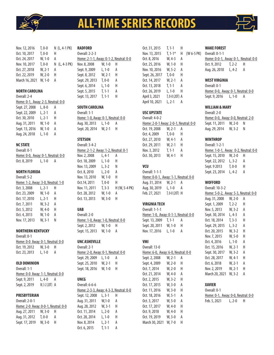

# **ALL-TIME SERIES RECORDS**



Nov. 12, 2016 T, 0-0 N (L, 4-1 PK) Oct. 10, 2017 T, 0-0 H Oct. 24, 2017 W, 1-0 A Nov. 10, 2017 T, 0-0 N (L, 4-3 PK) Oct. 27, 2018 W, 2-1 A Oct. 22, 2019 W, 2-0 H March 16, 2021 W, 1-0 A

#### **NORTH CAROLINA**  $-11.24$

| Overall: 2-4                       |          |   |
|------------------------------------|----------|---|
| Home: 0-1, Away: 2-3, Neutral: 0-0 |          |   |
| Sept. 27, 2008                     | L, 8-0   | А |
| Sept. 22, 2009                     | $L. 2-1$ | А |
| Oct. 30, 2010                      | $L. 2-1$ | н |
| Aug. 31, 2011                      | W. 1-0   | А |
| Sept. 13, 2016                     | W, 1-0   | А |
| Aug. 24, 2018                      | $L. 1-0$ | A |
|                                    |          |   |

#### **NC STATE**

Overall: 0-1 Home: 0-0, Away: 0-1, Neutral: 0-0

Oct. 8, 2019 L, 1-0 A

#### **NORTH FLORIDA**

| Overall: 5-2                       |          |   |  |
|------------------------------------|----------|---|--|
| Home: 1-2, Away: 3-0, Neutral: 1-0 |          |   |  |
| Oct. 3, 2008                       | L, 2-1   | н |  |
| Oct. 23, 2009                      | W. 1-0   | А |  |
| Oct. 17, 2010                      | $L. 2-1$ | н |  |
| Oct. 7, 2011                       | W. 3-2   | А |  |
| Oct. 5, 2012                       | W, 4-0   | н |  |
| Oct. 4, 2013                       | W. 1-0   | А |  |
| Nov. 17, 2013                      | W. 3-1   | Ν |  |

#### **NORTHERN KENTUCKY**

Overall: 0-1

Home: 0-0 Away: 0-1, Neutral: 0-0 Oct. 19, 2012 W, 3-0 H Oct. 23, 2013 L, 1-0 A

#### **OLD DOMINION**

Overall: 1-1 Home: 0-0 Away: 1-1, Neutral: 0-0 Sept. 9, 2011 L, 4-0 A Sept. 2, 2019 W, 3-2 (20T) A

#### **PRESBYTERIAN**

| Overall: 2-0-1                      |         |   |  |
|-------------------------------------|---------|---|--|
| Home: 2-0 Away: 0-0-1, Neutral: 0-0 |         |   |  |
| Aug. 27, 2011                       | W. 3-0  | н |  |
| Aug. 31, 2012                       | $T.0-0$ | А |  |
| Sept. 17, 2019                      | W. 3-0  | н |  |
|                                     |         |   |  |

## **RADFORD**

| Overall: 2-2-3                         |          |   |
|----------------------------------------|----------|---|
| Home: 2-1-1, Away: 0-1-2, Neutral: 0-0 |          |   |
| Nov. 8, 2008                           | W. 1-0   | н |
| Sept. 9, 2009                          | $L. 1-0$ | А |
| Sept. 8, 2012                          | $W. 2-1$ | н |
| Sept. 29, 2013                         | $T.0-0$  | А |
| Sept. 6, 2014                          | $L. 1-0$ | н |
| Sept. 5, 2015                          | $T. 1-1$ | А |
| Sept. 13, 2017                         | $T. 1-1$ | н |
|                                        |          |   |

#### **SOUTH CAROLINA**

| Overall: 1-1                       |          |   |
|------------------------------------|----------|---|
| Home: 1-0, Away: 0-1, Neutral: 0-0 |          |   |
| Aug. 30, 2013                      | L. 1-0   | А |
| Sept. 20, 2014                     | $W. 2-1$ | н |

#### **STETSON**

| Overall: 3-4-2                             |          |               |
|--------------------------------------------|----------|---------------|
| <u>Home: 2-1-2 Away: 1-2, Neutral: 0-1</u> |          |               |
| Nov. 2, 2008                               | L, 4-1   | А             |
| Oct. 18, 2009                              | $L. 1-0$ | Н             |
| Nov. 13, 2009                              | L, 3-2   | N             |
| Oct. 8, 2010                               | $L. 2-0$ | А             |
| Nov. 13, 2010                              | W. 1-0   | Н             |
| Oct.14, 2011                               | $T.0-0$  | Н             |
| Nov. 11, 2011                              | $T. 3-3$ | H (W, 5-4 PK) |
| Oct. 28, 2012                              | W. 1-0   | А             |
| Oct. 13, 2013                              | $W. 3-0$ | н             |

#### **UAB**

| Overall: 2-0                       |          |     |
|------------------------------------|----------|-----|
| Home: 1-0, Away: 1-0, Neutral: 0-0 |          |     |
| Sept. 2, 2012                      | $W. 1-0$ | - H |
| Sept. 15, 2013                     | $W. 1-0$ | A   |

#### **UNC ASHEVILLE**

| Overall: 2-1                       |        |   |
|------------------------------------|--------|---|
| Home: 2-0, Away: 0-1, Neutral: 0-0 |        |   |
| Sept. 29, 2009                     | L. 1-0 | А |
| Sept. 25, 2010                     | W. 2-1 | н |
| Sept. 18, 2016                     | W. 1-0 | н |

#### **UNCG**

|            | Home: 2-3-3, Away: 4-3-3, Neutral: 0-0 |
|------------|----------------------------------------|
| L. 3-1     | н                                      |
| $W, 1 - 0$ | А                                      |
| $W. 3-1$   | н                                      |
| $L.2 - 0$  | А                                      |
| $L. 1-0$   | н                                      |
| $L.2-1$    | А                                      |
| $T. 1-1$   | А                                      |
|            |                                        |

| Oct. 31, 2015  | $T. 1-1$         | Н |              |
|----------------|------------------|---|--------------|
| Nov. 13, 2015  | $T, 1-1*$        | Н | $(W 6-5 PK)$ |
| Oct. 8, 2016   | W. 4-3           | А |              |
| Oct. 25, 2016  | W, 1-0           | Н |              |
| Nov. 10, 2016  | W, 5-2           | А |              |
| Sept. 26, 2017 | $T, 0-0$         | Н |              |
| Oct. 14, 2017  | W, 2-1           | А |              |
| Oct. 13, 2018  | $T, 1-1$         | А |              |
| Oct. 26, 2019  | L. 1-0           | Н |              |
| April 3, 2021  | $T, 0-0$ (20T) A |   |              |
| April 10, 2021 | L, 2-1           | А |              |
|                |                  |   |              |

#### **USC UPSTATE** Overall: 4-0-2

| Overali: 4-0-2                                |          |   |
|-----------------------------------------------|----------|---|
| <u> Home: 2-0-1 Away: 2-0-1, Neutral: 0-0</u> |          |   |
| Oct. 19, 2008                                 | W. 2-1   | А |
| Oct. 4, 2009                                  | $T.0-0$  | Н |
| Oct. 27, 2010                                 | W. 4-1   | А |
| Oct. 29, 2011                                 | $W. 2-1$ | Н |
| Nov. 3, 2012                                  | $T. 1-1$ | А |
| Oct. 30, 2013                                 | $W.4-1$  | Н |
|                                               |          |   |

#### **VCU**

| Overall: 1-1-1                       |                    |   |
|--------------------------------------|--------------------|---|
| Home: 0-0-1, Away: 1-1, Neutral: 0-0 |                    |   |
| Aug. 31, 2014                        | $W. 2-1$           | А |
| Aug. 30, 2019                        | L, 1-0             | А |
| Feb. 27, 2021                        | $T. 0 - 0 (20T)$ H |   |

#### **VIRGINIA TECH**

| Overall: 1-1-1                       |          |   |
|--------------------------------------|----------|---|
| Home: 1-0, Away: 0-1-1, Neutral: 0-0 |          |   |
| Sept. 13, 2009 T, 1-1                |          | А |
| Sept. 20, 2011                       | $W. 1-0$ | н |
| Nov. 17, 2016                        | L, 1-0   | А |

#### **VMI**

| Overall: 13-0                      |          |   |
|------------------------------------|----------|---|
| Home: 6-0, Away: 6-0, Neutral: 0-0 |          |   |
| Sept. 2, 2008                      | W, 2-1   | А |
| Sept. 4, 2009                      | W, 2-0   | н |
| Oct. 7, 2014                       | W, 2-0   | н |
| Oct. 21, 2014                      | W, 4-0   | A |
| Oct. 2, 2015                       | W, 3-2   | н |
| Oct. 17, 2015                      | W, 3-0   | А |
| Oct. 11, 2016                      | W, 3-0   | н |
| Oct. 18, 2016                      | $W, 5-1$ | А |
| Oct. 3, 2017                       | W, 5-0   | А |
| Oct. 17, 2017                      | W, 4-0   | Н |
| Oct. 9, 2018                       | W, 4-0   | н |
| Oct. 19, 2019                      | W, 3-0   | А |
| March 30, 2021                     | W. 7-0   | н |

#### **WAKE FOREST**

| Overall: 0-1-1                              |                         |    |
|---------------------------------------------|-------------------------|----|
| <u>Home: 0-0-1, Away: 0-1, Neutral: 0-0</u> |                         |    |
| Oct. 9, 2012                                | $\sqrt{2}$ . $\sqrt{2}$ | H. |
| Aug. 26, 2018                               | L. 4-2                  | А  |

#### **WEST VIRGINIA**

Overall: 0-1 Home: 0-0, Away: 0-1, Neutral: 0-0 Sept. 9, 2016 L, 1-0 A

#### **WILLIAM & MARY**

| Overall: 2-0                       |          |   |
|------------------------------------|----------|---|
| Home: 0-0, Away: 0-0, Neutral: 2-0 |          |   |
| Sept. 11, 2011                     | $W. 2-0$ | N |
| Aug. 29, 2014                      | W. 3-2   | N |

#### **WINTHROP**

Overall: 1-2-1 Home: 1-0-1, Away: 0-2, Neutral: 0-0 Sept. 15, 2010 W, 2-0 H Sept. 22, 2012 L, 3-2 A Sept. 9 2013 T, 0-0 H Sept. 23, 2014 L, 4-2 A

#### **WOFFORD**

Overall: 10-3-2 Home: 5-0-2, Away: 5-3, Neutral: 0-0 Aug. 31, 2008 W, 2-0 A Sept. 1, 2009 T, 2-2 H Nov. 5, 2013 W, 3-2 A Sept. 30, 2014 L, 4-3 A Oct. 18, 2014 T, 3-3 H Sept. 29, 2015 L, 3-2 A Oct. 20, 2015 W, 3-2 H Nov. 7, 2015 W, 5-0 H Oct. 4, 2016 L, 1-0 A Oct. 15, 2016 W, 2-1 H Sept. 30, 2017 W, 3-2 A Oct. 28, 2017 W, 4-1 H Oct. 6, 2018 W, 2-1 A Nov. 2, 2019 W, 2-1 H March 20, 2021 W, 3-2 A

## **XAVIER**

Overall: 0-1 Home: 0-1, Away: 0-0, Neutral: 0-0 Feb. 5, 2021 L, 2-0 H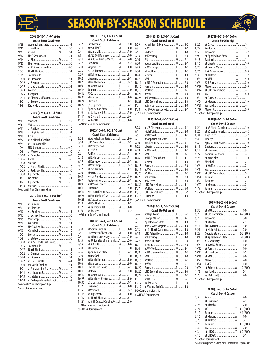

## **EASON-BY-SEASON SCHEDUL**



**Coach Bo Oshoniyi** 8/25 at Dayton .............................T..........1-1 8/29 Kentucky..............................L..........2-1 9/5 Lipscomb............................ W.........3-2 9/9 at Appalachian State........... W.........1-0 9/13 Radford................................T..........1-1 9/16 at Liberty............................ W.........1-0 9/20 at George Mason ................... L ..........3-1<br>9/26 UNC Greensboro .................... T ..........0-0 9/26 UNC Greensboro...................T..........0-0 9/30 at Wofford........................... W.........3-2 10/3 at VMI ................................. W.........5-0 10/6 #25 Furman .........................T..........0-0 10/10 Mercer..................................T..........0-0 10/14 at UNC Greensboro............... W .........2-1<br>10/17 VMI W 4-0 10/17 VMI ..................................... W.........4-0 10/21 at Furman ............................T..........1-1

10/28 Wofford............................... W.........4-1 11/10 Mercer\$................................T..........0-0

**2018 (9-7-1, 4-1-1 SoCon)**

#### **2008 (6-10-1, 1-7-1 A-Sun) Coach Scott Calabrese**

| Coach Scott Calabrese |                              |  |  |
|-----------------------|------------------------------|--|--|
| 8/29                  | Appalachian State L3-1       |  |  |
| 8/31                  |                              |  |  |
| 9/2                   |                              |  |  |
| 9/12                  | UNC Greensboro L 3-1         |  |  |
| 9/14                  |                              |  |  |
| 9/20                  |                              |  |  |
| 9/27                  | at #15 North Carolina L8-0   |  |  |
| 10/3                  | North Florida L 2-1          |  |  |
| 10/5                  |                              |  |  |
| 10/10                 |                              |  |  |
| 10/12                 |                              |  |  |
| 10/19                 | at USC Upstate  W 2-1        |  |  |
| 10/23                 |                              |  |  |
| 10/25                 |                              |  |  |
| 10/31                 | at Florida Gulf Coast  L 3-0 |  |  |
| 11/2                  |                              |  |  |
| 11/8                  |                              |  |  |

#### **2009 (6-9-3, 4-4-1 A-Sun) Coach Scott Calabrese**

| 9/1   |                            |  |
|-------|----------------------------|--|
| 9/4   |                            |  |
| 9/11  |                            |  |
| 9/13  | at Virginia Tech T1-1      |  |
| 9/19  |                            |  |
| 9/22  | at #2 North Carolina L 2-1 |  |
| 9/29  | at UNC Asheville L  1-0    |  |
| 10/4  | USC Upstate T0-0           |  |
| 10/8  |                            |  |
| 10/10 |                            |  |
| 10/16 |                            |  |
| 10/18 |                            |  |
| 10/23 | at North Florida W 1-0     |  |
| 10/25 | at Jacksonville L 3-0      |  |
| 10/30 |                            |  |
| 11/1  |                            |  |
| 11/7  |                            |  |
| 11/13 |                            |  |

!=Atlantic Sun Championship

#### **2010 (15-6-0, 7-2-0 A-Sun) Coach Scott Calabrese**

| 9/1   |                                  |  |
|-------|----------------------------------|--|
| 9/6   |                                  |  |
| 9/10  | vs. Bradley  W 2-1               |  |
| 9/12  |                                  |  |
| 9/15  |                                  |  |
| 9/20  |                                  |  |
| 9/25  | UNC Asheville W 2-1              |  |
| 9/30  |                                  |  |
| 10/2  |                                  |  |
| 10/8  |                                  |  |
| 10/10 | at #25 Florida Gulf Coast  L 5-0 |  |
| 10/15 | Jacksonville W 1-0               |  |
| 10/17 |                                  |  |
| 10/22 | at Belmont W 1-0                 |  |
| 10/24 | at Lipscomb  W 2-1               |  |
| 10/27 | at USC Upstate  W 4-1            |  |
| 10/30 | #4 North CarolinaL 2-1           |  |
| 11/2  | at Appalachian State W 1-0       |  |
| 11/11 | vs. Lipscomb!  W 1-0             |  |
| 11/13 | vs. Stetson!  W 1-0              |  |
| 11/18 | at College of Charleston% L 3-2  |  |
|       | != Atlantic Sun Championship     |  |
|       | %=NCAA Tournament                |  |

## **2011 (10-7-4, 3-4-1 A-Sun)**

| <b>Coach Scott Calabrese</b> |                               |  |         |  |
|------------------------------|-------------------------------|--|---------|--|
| 8/27                         | Presbyterian W 3-0            |  | 8/29    |  |
| 8/31                         | at #20 UNCG W 1-0             |  | 8/31    |  |
| 9/4                          |                               |  | 9/6     |  |
| 9/9                          | at #22 Old Dominion  L 4-0    |  | 9/13    |  |
| 9/11                         | vs. #16 William & Mary  W 2-0 |  | 9/16    |  |
| 9/17                         |                               |  | 9/20    |  |
| 9/20                         | Virginia Tech W 1-0           |  | 9/23    |  |
| 9/25                         | No. 25 Furman  T 0-0          |  | 9/30    |  |
| 9/29                         |                               |  | 10/4    |  |
| 10/2                         |                               |  | 10/7    |  |
| 10/7                         | at North Florida W 3-2        |  | 10/11   |  |
| 10/9                         |                               |  | 10/15   |  |
| 10/14                        |                               |  | 10/18   |  |
| 10/16                        |                               |  | 10/21   |  |
| 10/22                        |                               |  | 10/24   |  |
| 10/24                        |                               |  | 10/28   |  |
| 10/29                        | USC Upstate  W 2-1            |  | 11/1    |  |
| 11/1                         | Appalachian StateL1-0         |  | 11/8    |  |
| 11/9                         | vs. Jacksonville ! W 2-0      |  | $5=500$ |  |
| 11/11                        | vs. Stetson!  W 5-4           |  |         |  |
| 11/13                        |                               |  |         |  |

!= Atlantic Sun Championship

#### **2012 (10-6-4, 5-2-1 A-Sun) Coach Scott Calabrese**

|       |                               |       | .                       |
|-------|-------------------------------|-------|-------------------------|
| 8/24  | at Appalachian State L  1-0   | 9/9   | at Appalachian          |
| 8/28  | UNC Greensboro W 3-1          | 9/16  | #15 Kentucky            |
| 8/31  | at PresbyterianT0-0           | 9/22  | Liberty                 |
| 9/2   |                               | 9/29  | at Wofford              |
| 9/8   |                               | 10/2  | VMI                     |
| 9/15  |                               | 10/6  | at UNC Greensb          |
| 9/19  |                               | 10/10 | Mercer                  |
| 9/22  |                               | 10/13 | Furman                  |
| 9/27  | at #25 Furman  T  1-1         | 10/17 | at VMI                  |
| 9/30  |                               | 10/20 | Wofford                 |
| 10/5  | North Florida W 4-0           | 10/23 | at Furman               |
| 10/7  | Jacksonville W 2-1            | 10/27 | at Mercer               |
| 10/9  | #18 Wake Forest T2-2          | 10/31 | <b>UNC</b> Greensbord   |
| 10/13 |                               | 11/7  | Wofford\$               |
| 10/19 | Northern Kentucky W 3-0       | 11/13 | <b>UNC</b> Greensbord   |
| 10/26 | at Florida Gulf Coast  L  1-0 | 11/15 | Furman\$                |
| 10/28 |                               |       | \$ = SoCon Championship |
| 11/3  | at USC Upstate  T1-1          |       |                         |
| 11/7  | vs. Jacksonville! W 1-0       |       | 2016 (12-5-3            |
| 11/9  |                               |       | Coach Bo                |
|       |                               |       |                         |

#### **2013 (10-6-4, 5-2-1 A-Sun)**

!=Atlantic Sun Championship

| <b>Coach Scott Calabrese</b> |  |  |
|------------------------------|--|--|

| 8/30  | at South Carolina  L  1-0         |  | 9/13   |
|-------|-----------------------------------|--|--------|
| 9/5   | University of Kentucky  W 1-0     |  | 9/18   |
| 9/9   | Winthrop University T0-0          |  | 9/21   |
| 9/13  | vs. University of Memphis  T 0-0  |  | 9/27   |
| 9/15  |                                   |  | 10/1   |
| 9/20  |                                   |  | 10/4   |
| 9/26  | Appalachian State L 2-1           |  | 10/8   |
| 9/29  |                                   |  | 10/11  |
| 10/4  | at North Florida W 1-0            |  | 10/15  |
| 10/6  |                                   |  | 10/18  |
| 10/11 | Florida Gulf Coast  L 2-1         |  | 10/22  |
| 10/13 |                                   |  | 10/25  |
| 10/19 | at Jacksonville W 2-1             |  | 10/29  |
| 10/23 | at Northern Kentucky L  1-0       |  | 11/10  |
| 10/30 | USC Upstate  W 4-1                |  | 11/12  |
| 11/2  |                                   |  | 11/17  |
| 11/5  |                                   |  | \$-SoC |
| 11/15 | vs. Lipscomb!  W 1-0              |  | %N     |
| 11/17 | vs. North Florida ! W 3-1         |  |        |
| 11/21 | vs. #11 Coastal Carolina%  L  2-0 |  |        |
|       | LAtlantic Cun Championchin        |  |        |

!=Atlantic Sun Championship

%=NCAA Tournament

#### **2014 (7-10-1, 3-6-1 SoCon) Coach Bo Oshoniyi**

|       | WANI DU VJIIVIII VI         |  |
|-------|-----------------------------|--|
| 8/29  | vs. William & Mary  W 3-2   |  |
| 8/31  |                             |  |
| 9/6   |                             |  |
| 9/13  |                             |  |
| 9/16  |                             |  |
| 9/20  | South Carolina  W 2-1       |  |
| 9/23  |                             |  |
| 9/30  |                             |  |
| 10/4  |                             |  |
| 10/7  |                             |  |
| 10/11 | at UNC Greensboro  L 2-0    |  |
| 10/15 |                             |  |
| 10/18 |                             |  |
| 10/21 |                             |  |
| 10/24 |                             |  |
| 10/28 | UNC Greensboro  L 1-0       |  |
| 11/1  |                             |  |
| 11/8  | vs. UNC Greensboro\$  L 2-1 |  |
|       | \$=SoCon Championship       |  |

#### **2015(8-7-4, 4-4-2 SoCon)**

#### 8/28 at #8 Clemson ......................L..........3-1 9/1 High Point........................... W.........2-0 9/5 at Radford............................T..........1-1 9/9 at Appalachian State............L..........2-1 9/16 #15 Kentucky...................... W.........3-1 9/22 Liberty................................ W.........1-0 9/29 at Wofford............................L..........3-2 10/2 VMI ..................................... W.........3-2 10/6 at UNC Greensboro...............T..........1-1 10/10 Mercer..................................L..........1-0 10/13 Furman ................................L..........2-0 10/17 at VMI ...<br>10/20 Wofford 10/20 Wofford............................... W.........3-2 10/23 at Furman ........................... W.........2-0 10/27 at Mercer..............................L..........3-0 10/31 UNC Greensboro...................T..........1-1 . 11/7 Wofford\$............................... W<br>11/13 UNC Greensboro\$................. W UNC Greensboro\$................ W ..........6-5 11/15 Furman\$..............................L..........1-0

#### **2016 (12-5-3, 7-1-2 SoCon)**

| Coach Bo Oshoniyi |  |  |
|-------------------|--|--|

| COUCH DO OSHOHIYI |                                    |  |  |
|-------------------|------------------------------------|--|--|
| 8/26              |                                    |  |  |
| 8/31              | George Mason W 4-2                 |  |  |
| 9/3               | Appalachian State W 1-0            |  |  |
| 9/9               | at #22 West Virginia  L  1-0       |  |  |
| 9/13              | at #1 North Carolina  W 1-0        |  |  |
| 9/18              | UNC Asheville W 1-0                |  |  |
| 9/21              |                                    |  |  |
| 9/27              | at #25 Furman T0-0                 |  |  |
| 10/1              |                                    |  |  |
| 10/4              | at Wofford W 2-1                   |  |  |
| 10/8              | at UNC Greensboro  W 4-3           |  |  |
| 10/11             |                                    |  |  |
| 10/15             |                                    |  |  |
| 10/18             |                                    |  |  |
| 10/22             |                                    |  |  |
| 10/25             | UNC Greensboro W 1-0               |  |  |
| 10/29             |                                    |  |  |
| 11/10             |                                    |  |  |
| 11/12             |                                    |  |  |
| 11/17             | at Virginia Tech% L  1-0           |  |  |
|                   | $\sim$ $\sim$ $\sim$ $\sim$ $\sim$ |  |  |

#### \$-SoCon Championship %=NCAA Tournament

| W 4-3            | 10/15 at Davi  |
|------------------|----------------|
| W 3-0            | 10/19 at VMI.  |
| W 2-1            | 10/22 Mercer.  |
| W 5-1            | 10/26 UNCG     |
| $T_{\dots1}$ 0-0 | 10/29 at Belm  |
| W 1-0            | 11/2 Wofford   |
| W 3-2            | 11/8 vs. Belr  |
| W 5-2            | \$=SoCon Champ |
| $T_{\dots1}$ 0-0 |                |
| L1-0             | 2020           |
|                  |                |

#### **2020 (3-5-3, 3-1-2 SoCon) Coach David Casper**

| 2/5                   |                    |       |  |
|-----------------------|--------------------|-------|--|
| 2/13                  |                    |       |  |
| 2/23                  | at MarshallL       | $2-0$ |  |
| 2/27                  |                    |       |  |
| 3/12                  |                    |       |  |
| 3/16                  | at Mercer W 1-0    |       |  |
| 3/20                  | at Wofford W 3-2   |       |  |
| 3/23                  | BelmontT 0-0 (20T) |       |  |
| 3/30                  |                    | $7-0$ |  |
| 4/3                   |                    |       |  |
|                       |                    |       |  |
| \$ = SoCon Tournament |                    |       |  |

\*2020 season played in Spring 2021 due to COVID-19 pandemic

| 8/28  | at #8 Clemson        |
|-------|----------------------|
| 9/1   | High Point           |
| 9/5   | at Radford           |
| 9/9   | at Appalachian State |
| 9/16  | #15 Kentucky         |
| 9/22  | Liberty              |
| 9/29  | at Wofford           |
| 10/2  |                      |
| 10/6  | at UNC Greensboro    |
| 10/10 | Mercer               |
|       |                      |

#### **Coach Bo Oshoniyi**

| Coach David Casper |                             |  |  |
|--------------------|-----------------------------|--|--|
| 8/24               | at #3 North Carolina L  1-0 |  |  |
| 8/26               | at #5 Wake Forest L4-2      |  |  |
| 8/31               |                             |  |  |
| 9/4                |                             |  |  |
| 9/8                | Appalachian State W 1-0     |  |  |
| 9/11               |                             |  |  |
| 9/15               | at Lipscomb  W 3-1          |  |  |
| 9/22               | Georgia Southern W 2-1      |  |  |
| 9/26               |                             |  |  |
| 10/3               |                             |  |  |
| 10/6               | at Wofford W 2-1            |  |  |
| 10/9               |                             |  |  |
| 10/13              | at UNC Greensboro  T  1-1   |  |  |
| 10/20              |                             |  |  |
| 10/23              |                             |  |  |
| 10/27              |                             |  |  |
| 11/9               |                             |  |  |

10/24 at Mercer........<br>10/28 Wofford..........

\$=SoCon Championship

\$=SoCon Championship

#### **2019 (8-8-2, 4-2 SoCon) Coach David Casper**

| 8/30  | at VCU L              | $1 - 0$      |
|-------|-----------------------|--------------|
| 9/2   | at Old Dominion W     | $3 - 2(20T)$ |
| 9/7   | Lipscomb L            | $3-0$        |
| 9/10  | at MarshallL          | $2 - 1$      |
| 9/17  | Presbyterian W        | $3-0$        |
| 9/21  | at High Point W       | $2 - 0$      |
| 9/28  | Georgia State T       | $2 - 2(20T)$ |
| 10/1  | at Appalachian StateT | $1-1(20T)$   |
| 10/5  | #19 Kentucky L        | $1 - 0$      |
| 10/8  | at #20 NC State L     | $1 - 0$      |
| 10/12 | at Furman L           | $1 - 0$      |
| 10/15 | at Davidson  W        | $2 - 1$      |
| 10/19 | at VMI  W             | $3-0$        |
| 10/22 |                       | $2 - 0$      |
| 10/26 | UNCGL                 | $1 - 0$      |
| 10/29 | at Belmont W          | $1-0(20T)$   |
| 11/2  | Wofford W             | $2 - 1$      |
| 11/8  | vs. Belmont\$L        | $2 - 0$      |
|       | \$=SoCon Championship |              |
|       |                       |              |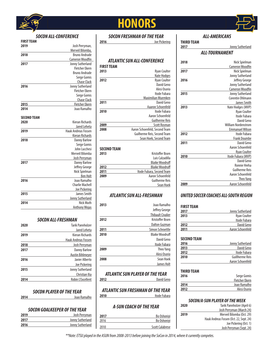

**FIRST TEAM**

## **HONORS**



#### *ALL-AMERICANS*

#### **THIRD TEAM Jonny Sutherland** *ALL-TOURNAMENT*

| ALL-IUUKNAMENI |                            |  |
|----------------|----------------------------|--|
| 2018           | Nick Spielman              |  |
|                | <b>Cameron Woodfin</b>     |  |
| 2017           | Nick Spielman              |  |
|                | Jonny Sutherland           |  |
| 2016           | Jeffrey George             |  |
|                | Jonny Sutherland           |  |
|                | <b>Cameron Woodfin</b>     |  |
| 2015           | Jonny Sutherland           |  |
|                | Corentin Ohlmann           |  |
|                | James Smith                |  |
| 2013           | Nate Hodges (MVP)          |  |
|                | <b>Ryan Coulter</b>        |  |
|                | Itode Fubara               |  |
|                | David Geno                 |  |
|                | <b>William Nordenstrom</b> |  |
|                | <b>Emmanuel Wilson</b>     |  |
| 2012           | Itode Fubara               |  |
|                | <b>Frank Doumbe</b>        |  |
| 2011           | David Geno                 |  |
|                | Aaron Schoenfeld           |  |
|                | <b>Ryan Coulter</b>        |  |
| 2010           | Itode Fubara (MVP)         |  |
|                | David Geno                 |  |
|                | Ronnie Hreha               |  |
|                | <b>Guilherme Reis</b>      |  |
|                | Aaron Schoenfeld           |  |
|                | Theo Yang                  |  |
| 2009           | Aaron Schoenfeld           |  |

## *UNITED SOCCER COACHES ALL-SOUTH REGION*

| <b>FIRST TEAM</b> |                     |
|-------------------|---------------------|
| 2017              | Jonny Sutherland    |
| 2013              | <b>Ryan Coulter</b> |
|                   | Itode Fubara        |
| 2012              | David Geno          |
| 2011              | Aaron Schoenfeld    |
|                   |                     |

#### **SECOND TEAM**

| 2016 | Jonny Sutherland       |
|------|------------------------|
| 2013 | David Geno             |
| 2012 | Itode Fubara           |
| 2010 | <b>Guillherme Reis</b> |
|      | Aaron Schoenfeld       |

| THIRD TEAM |                       |
|------------|-----------------------|
| 2016       | Serge Gomis           |
|            | <b>Fletcher Ekern</b> |
| 2014       | Joao Ramalho          |
| 2012       | Alesi Osorio          |

#### *SOCON/A-SUN PLAYER OF THE WEEK*

| 2020 | Tarik Pannholzer (April 6)              |
|------|-----------------------------------------|
|      | Josh Perryman (March 24)                |
| 2019 | Merveil Bilomba (Oct. 29)               |
|      | Hauk Andreas Fossen (Oct. 22, Sept. 24) |
|      | Joe Pickering (Oct. 1)                  |
|      | Josh Perryman (Sept. 24)                |
|      |                                         |

## *SOCON FRESHMAN OF THE YEAR*

**2016** Joe Pickering

#### *ATLANTIC SUN ALL-CONFERENCE* **FIRST TEAM 2013** Ryan Coulter Nate Hodges **2012** Ryan Coulter David Geno Alesi Osorio Itode Fubara Maximilian Muemken **2011** David Geno Aaaron Schoenfeld **2010** Itode Fubara Aaron Schoenfeld Guilherme Reis **2009** Scott Rosman<br>**2008 Aaron Schoenfeld, Second Team 2008** Aaron Schoenfeld, Second Team Guilherme Reis, Second Team Sean Hoek, Second Team **SECOND TEAM**

| 2013 | Kristoffer Ibsen          |
|------|---------------------------|
|      | Luis Calzadilla           |
|      | <b>Blaike Woodruff</b>    |
| 2012 | <b>Blaike Woodruff</b>    |
| 2011 | Itode Fubara, Second Team |
| 2009 | Aaron Schoenfeld          |
|      | Guilherme Reis            |
|      | Sean Hoek                 |

## *ATLANTIC SUN ALL-FRESHMAN*

| 2013 | <b>Joan</b> Ramalho      |
|------|--------------------------|
|      | Jeffrey George           |
|      | <b>Thibault Civalier</b> |
| 2012 | Kristoffer Ibsen         |
|      | Dalton Guzman            |
| 2011 | Simon Schroettle         |
| 2010 | <b>Blaike Woodruff</b>   |
|      | David Geno               |
|      | Itode Fubara             |
| 2009 | Theo Yang                |
|      | Alesi Osorio             |
| 2008 | Sean Hoek                |
|      | <b>James Holt</b>        |

#### *ATLANTIC SUN PLAYER OF THE YEAR*<br><sup>David Ge</sup> **2012** David Geno

*ATLANTIC SUN FRESHMAN OF THE YEAR* **2010** Itode Fubara

## *A-SUN COACH OF THE YEAR*

| 2017 | Bo Oshoniyi            |
|------|------------------------|
| 2016 | Bo Oshoniyi            |
| 2010 | <b>Scott Calabrese</b> |

|                    | Merveil Bilomba,           |
|--------------------|----------------------------|
| 2018               | <b>Bruno Andrade</b>       |
|                    | <b>Cameron Woodfin</b>     |
| 2017               | Jonny Sutherland           |
|                    | <b>Fletcher Ekern</b>      |
|                    | <b>Bruno Andrade</b>       |
|                    | Serge Gomis                |
|                    | <b>Chase Clack</b>         |
| 2016               | Jonny Sutherland           |
|                    | <b>Fletcher Ekern</b>      |
|                    | Serge Gomis                |
|                    | <b>Chase Clack</b>         |
| 2015               | <b>Fletcher Ekern</b>      |
| 2014               | Joao Ramalho               |
| <b>SECOND TEAM</b> |                            |
| 2020               | Kieran Richards            |
|                    | Jared Leheta               |
| 2019               | <b>Hauk Andreas Fossen</b> |
|                    | Kieran Richards            |
| 2018               | <b>Danny Barlow</b>        |
|                    | Serge Gomis                |
|                    | John Lucchesi              |
|                    | Merveil Bilomba            |
|                    | Josh Perryman              |
| 2017               | <b>Danny Barlow</b>        |
|                    | Jeffrey George             |
|                    | Nick Spielman              |
|                    | <b>Ben Holt</b>            |
| 2016               | Joao Ramalho               |
|                    | <b>Charlie Machell</b>     |
|                    | Joe Pickering              |
| 2015               | James Smith                |
|                    | Jonny Sutherland           |
| 2014               | Nick Muth                  |

*SOCON ALL-CONFERENCE*

**2019** Josh Perryman,

### *SOCON ALL-FRESHMAN*

Anthony Wojas

| 2020 | <b>Tarik Pannholzer</b>    |
|------|----------------------------|
|      | Jared Leheta               |
| 2019 | Kieran Richards            |
|      | <b>Hauk Andreas Fossen</b> |
| 2018 | Josh Perryman              |
| 2017 | <b>Danny Barlow</b>        |
|      | <b>Austin Bihlmeyer</b>    |
| 2016 | <b>Javier Alberto</b>      |
|      | Joe Pickering              |
| 2015 | Jonny Sutherland           |
|      | Christian Ilia             |
| 2014 | <b>Robin L'Excellent</b>   |

#### *SOCON PLAYER OF THE YEAR* **2014** Joao Ramalho

## *SOCON GOALKEEPER OF THE YEAR*

| 2019 | Josh Perryman    |
|------|------------------|
| 2017 | Jonny Sutherland |
| 2016 | Jonny Sutherland |

*\*\*Note: ETSU played in the ASUN from 2008-2013 before joining the SoCon in 2014, where it currently competes.*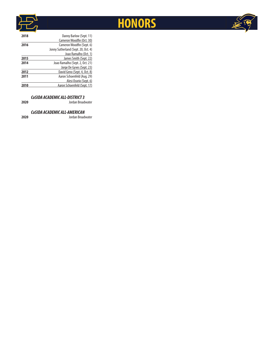



| Cameron Woodfin (Oct. 30)<br>Cameron Woodfin (Sept. 6)<br>2016<br>Jonny Sutherland (Sept. 20, Oct. 4)<br>Joao Ramalho (Oct. 1)<br>James Smith (Sept. 22)<br>2015<br>Joao Ramalho (Sept. 2, Oct. 21)<br>2014<br>Jorge De Gyves (Sept. 23) |
|------------------------------------------------------------------------------------------------------------------------------------------------------------------------------------------------------------------------------------------|
|                                                                                                                                                                                                                                          |
|                                                                                                                                                                                                                                          |
|                                                                                                                                                                                                                                          |
|                                                                                                                                                                                                                                          |
|                                                                                                                                                                                                                                          |
|                                                                                                                                                                                                                                          |
|                                                                                                                                                                                                                                          |
| David Geno (Sept. 4, Oct. 8)<br>2012                                                                                                                                                                                                     |
| Aaron Schoenfeld (Aug. 29)<br>2011                                                                                                                                                                                                       |
| Alesi Osorio (Sept. 6)                                                                                                                                                                                                                   |
| Aaron Schoenfeld (Sept. 17)                                                                                                                                                                                                              |

#### *CoSIDA ACADEMIC ALL-DISTRICT 3*

**2020** Jordan Broadwater

## *CoSIDA ACADEMIC ALL-AMERICAN*

**2020** Jordan Broadwater